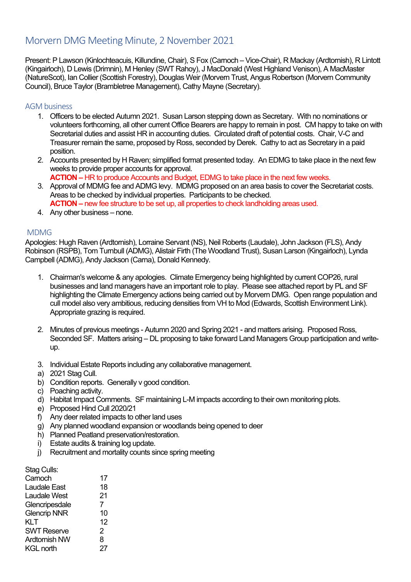# Morvern DMG Meeting Minute, 2 November 2021

Present: P Lawson (Kinlochteacuis, Killundine, Chair), S Fox (Carnoch – Vice-Chair), R Mackay (Ardtornish), R Lintott (Kingairloch), D Lewis (Drimnin), M Henley (SWT Rahoy), J MacDonald (West Highland Venison), A MacMaster (NatureScot), Ian Collier (Scottish Forestry), Douglas Weir (Morvern Trust, Angus Robertson (Morvern Community Council), Bruce Taylor (Brambletree Management), Cathy Mayne (Secretary).

### AGM business

- 1. Officers to be elected Autumn 2021. Susan Larson stepping down as Secretary. With no nominations or volunteers forthcoming, all other current Office Bearers are happy to remain in post. CM happy to take on with Secretarial duties and assist HR in accounting duties. Circulated draft of potential costs. Chair, V-C and Treasurer remain the same, proposed by Ross, seconded by Derek. Cathy to act as Secretary in a paid position.
- 2. Accounts presented by H Raven; simplified format presented today. An EDMG to take place in the next few weeks to provide proper accounts for approval.
- **ACTION –** HR to produce Accounts and Budget, EDMG to take place in the next few weeks. 3. Approval of MDMG fee and ADMG levy. MDMG proposed on an area basis to cover the Secretariat costs. Areas to be checked by individual properties. Participants to be checked. **ACTION –** new fee structure to be set up, all properties to check landholding areas used.
- 4. Any other business none.

#### MDMG

Apologies: Hugh Raven (Ardtornish), Lorraine Servant (NS), Neil Roberts (Laudale), John Jackson (FLS), Andy Robinson (RSPB), Tom Turnbull (ADMG), Alistair Firth (The Woodland Trust), Susan Larson (Kingairloch), Lynda Campbell (ADMG), Andy Jackson (Carna), Donald Kennedy.

- 1. Chairman's welcome & any apologies. Climate Emergency being highlighted by current COP26, rural businesses and land managers have an important role to play. Please see attached report by PL and SF highlighting the Climate Emergency actions being carried out by Morvern DMG. Open range population and cull model also very ambitious, reducing densities from VH to Mod (Edwards, Scottish Environment Link). Appropriate grazing is required.
- 2. Minutes of previous meetings Autumn 2020 and Spring 2021 and matters arising. Proposed Ross, Seconded SF. Matters arising – DL proposing to take forward Land Managers Group participation and writeup.
- 3. Individual Estate Reports including any collaborative management.
- a) 2021 Stag Cull.
- b) Condition reports. Generally v good condition.
- c) Poaching activity.
- d) Habitat Impact Comments. SF maintaining L-M impacts according to their own monitoring plots.
- e) Proposed Hind Cull 2020/21
- f) Any deer related impacts to other land uses
- g) Any planned woodland expansion or woodlands being opened to deer
- h) Planned Peatland preservation/restoration.
- i) Estate audits & training log update.
- j) Recruitment and mortality counts since spring meeting

#### Stag Culls:

| Carnoch              | 17 |
|----------------------|----|
| Laudale East         | 18 |
| Laudale West         | 21 |
| Glencripesdale       | 7  |
| <b>Glencrip NNR</b>  | 10 |
| <b>KLT</b>           | 12 |
| <b>SWT Reserve</b>   | 2  |
| <b>Ardtornish NW</b> | 8  |
| <b>KGL north</b>     | 27 |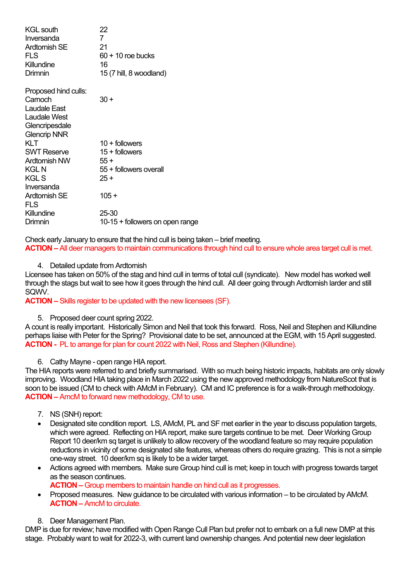| <b>KGL south</b><br>Inversanda<br><b>Ardtornish SE</b><br>FLS<br>Killundine<br>Drimnin                   | 22<br>$\mathbf{7}$<br>21<br>$60 + 10$ roe bucks<br>16<br>15 (7 hill, 8 woodland) |
|----------------------------------------------------------------------------------------------------------|----------------------------------------------------------------------------------|
| Proposed hind culls:<br>Carnoch<br>Laudale East<br>Laudale West<br>Glencripesdale<br><b>Glencrip NNR</b> | 30 +                                                                             |
| KLT                                                                                                      | $10 +$ followers                                                                 |
| <b>SWT Reserve</b>                                                                                       | $15 +$ followers                                                                 |
| Ardtornish NW                                                                                            | $55+$                                                                            |
| KGL N                                                                                                    | 55 + followers overall                                                           |
| KGL S<br>Inversanda                                                                                      | $25 +$                                                                           |
| <b>Ardtornish SE</b><br>FLS                                                                              | $105 +$                                                                          |
| Killundine                                                                                               | 25-30                                                                            |
| Drimnin                                                                                                  | 10-15 + followers on open range                                                  |
|                                                                                                          |                                                                                  |

Check early January to ensure that the hind cull is being taken – brief meeting. **ACTION –** All deer managers to maintain communications through hind cull to ensure whole area target cull is met.

4. Detailed update from Ardtornish

Licensee has taken on 50% of the stag and hind cull in terms of total cull (syndicate). New model has worked well through the stags but wait to see how it goes through the hind cull. All deer going through Ardtornish larder and still SQWV.

**ACTION –** Skills register to be updated with the new licensees (SF).

#### 5. Proposed deer count spring 2022.

A count is really important. Historically Simon and Neil that took this forward. Ross, Neil and Stephen and Killundine perhaps liaise with Peter for the Spring? Provisional date to be set, announced at the EGM, with 15 April suggested. **ACTION -** PL to arrange for plan for count 2022 with Neil, Ross and Stephen (Killundine).

6. Cathy Mayne - open range HIA report.

The HIA reports were referred to and briefly summarised. With so much being historic impacts, habitats are only slowly improving. Woodland HIA taking place in March 2022 using the new approved methodology from NatureScot that is soon to be issued (CM to check with AMcM in February). CM and IC preference is for a walk-through methodology. **ACTION –** AmcM to forward new methodology, CM to use.

- 7. NS (SNH) report:
- Designated site condition report. LS, AMcM, PL and SF met earlier in the year to discuss population targets, which were agreed. Reflecting on HIA report, make sure targets continue to be met. Deer Working Group Report 10 deer/km sq target is unlikely to allow recovery of the woodland feature so may require population reductions in vicinity of some designated site features, whereas others do require grazing. This is not a simple one-way street. 10 deer/km sq is likely to be a wider target.
- Actions agreed with members. Make sure Group hind cull is met; keep in touch with progress towards target as the season continues.
	- **ACTION –** Group members to maintain handle on hind cull as it progresses.
- Proposed measures. New guidance to be circulated with various information to be circulated by AMcM. **ACTION –** AmcM to circulate.
- 8. Deer Management Plan.

DMP is due for review; have modified with Open Range Cull Plan but prefer not to embark on a full new DMP at this stage. Probably want to wait for 2022-3, with current land ownership changes. And potential new deer legislation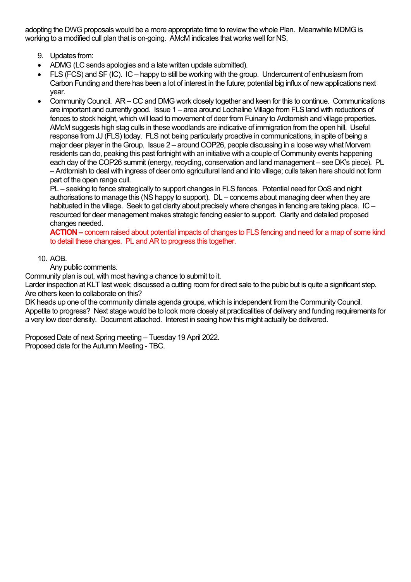adopting the DWG proposals would be a more appropriate time to review the whole Plan. Meanwhile MDMG is working to a modified cull plan that is on-going. AMcM indicates that works well for NS.

- 9. Updates from:
- ADMG (LC sends apologies and a late written update submitted).
- FLS (FCS) and SF (IC). IC happy to still be working with the group. Undercurrent of enthusiasm from Carbon Funding and there has been a lot of interest in the future; potential big influx of new applications next year.
- Community Council. AR CC and DMG work closely together and keen for this to continue. Communications are important and currently good. Issue 1 – area around Lochaline Village from FLS land with reductions of fences to stock height, which will lead to movement of deer from Fuinary to Ardtornish and village properties. AMcM suggests high stag culls in these woodlands are indicative of immigration from the open hill. Useful response from JJ (FLS) today. FLS not being particularly proactive in communications, in spite of being a major deer player in the Group. Issue 2 – around COP26, people discussing in a loose way what Morvern residents can do, peaking this past fortnight with an initiative with a couple of Community events happening each day of the COP26 summit (energy, recycling, conservation and land management – see DK's piece). PL – Ardtornish to deal with ingress of deer onto agricultural land and into village; culls taken here should not form part of the open range cull.

PL – seeking to fence strategically to support changes in FLS fences. Potential need for OoS and night authorisations to manage this (NS happy to support). DL – concerns about managing deer when they are habituated in the village. Seek to get clarity about precisely where changes in fencing are taking place. IC – resourced for deer management makes strategic fencing easier to support. Clarity and detailed proposed changes needed.

**ACTION –** concern raised about potential impacts of changes to FLS fencing and need for a map of some kind to detail these changes. PL and AR to progress this together.

## 10. AOB.

Any public comments.

Community plan is out, with most having a chance to submit to it.

Larder inspection at KLT last week; discussed a cutting room for direct sale to the pubic but is quite a significant step. Are others keen to collaborate on this?

DK heads up one of the community climate agenda groups, which is independent from the Community Council. Appetite to progress? Next stage would be to look more closely at practicalities of delivery and funding requirements for a very low deer density. Document attached. Interest in seeing how this might actually be delivered.

Proposed Date of next Spring meeting – Tuesday 19 April 2022. Proposed date for the Autumn Meeting - TBC.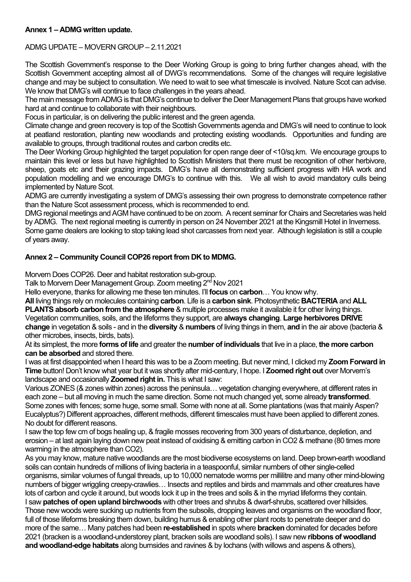## **Annex 1 – ADMG written update.**

## ADMG UPDATE – MOVERN GROUP – 2.11.2021

The Scottish Government's response to the Deer Working Group is going to bring further changes ahead, with the Scottish Government accepting almost all of DWG's recommendations. Some of the changes will require legislative change and may be subject to consultation. We need to wait to see what timescale is involved. Nature Scot can advise. We know that DMG's will continue to face challenges in the years ahead.

The main message from ADMG is that DMG's continue to deliver the Deer Management Plans that groups have worked hard at and continue to collaborate with their neighbours.

Focus in particular, is on delivering the public interest and the green agenda.

Climate change and green recovery is top of the Scottish Governments agenda and DMG's will need to continue to look at peatland restoration, planting new woodlands and protecting existing woodlands. Opportunities and funding are available to groups, through traditional routes and carbon credits etc.

The Deer Working Group highlighted the target population for open range deer of <10/sq.km. We encourage groups to maintain this level or less but have highlighted to Scottish Ministers that there must be recognition of other herbivore, sheep, goats etc and their grazing impacts. DMG's have all demonstrating sufficient progress with HIA work and population modelling and we encourage DMG's to continue with this. We all wish to avoid mandatory culls being implemented by Nature Scot.

ADMG are currently investigating a system of DMG's assessing their own progress to demonstrate competence rather than the Nature Scot assessment process, which is recommended to end.

DMG regional meetings and AGM have continued to be on zoom. A recent seminar for Chairs and Secretaries was held by ADMG. The next regional meeting is currently in person on 24 November 2021 at the Kingsmill Hotel in Inverness. Some game dealers are looking to stop taking lead shot carcasses from next year. Although legislation is still a couple

of years away.

## **Annex 2 – Community Council COP26 report from DK to MDMG.**

Morvern Does COP26. Deer and habitat restoration sub-group.

Talk to Morvern Deer Management Group. Zoom meeting 2nd Nov 2021

Hello everyone, thanks for allowing me these ten minutes. I'll **focus** on **carbon**… You know why.

**All** living things rely on molecules containing **carbon**. Life is a **carbon sink**. Photosynthetic **BACTERIA** and **ALL** 

**PLANTS absorb carbon from the atmosphere** & multiple processes make it available it for other living things. Vegetation communities, soils, and the lifeforms they support, are **always changing**. **Large herbivores DRIVE change** in vegetation & soils - and in the **diversity** & **numbers** of living things in them, **and** in the air above (bacteria & other microbes, insects, birds, bats).

At its simplest, the more **forms of life** and greater the **number of individuals** that live in a place, **the more carbon can be absorbed** and stored there.

I was at first disappointed when I heard this was to be a Zoom meeting. But never mind, I clicked my **Zoom Forward in Time** button! Don't know what year but it was shortly after mid-century, I hope. I **Zoomed right out** over Morvern's landscape and occasionally **Zoomed right in.** This is what I saw:

Various ZONES (& zones within zones) across the peninsula… vegetation changing everywhere, at different rates in each zone – but all moving in much the same direction. Some not much changed yet, some already **transformed**. Some zones with fences; some huge, some small. Some with none at all. Some plantations (was that mainly Aspen? Eucalyptus?) Different approaches, different methods, different timescales must have been applied to different zones. No doubt for different reasons.

I saw the top few cm of bogs healing up, & fragile mosses recovering from 300 years of disturbance, depletion, and erosion – at last again laying down new peat instead of oxidising & emitting carbon in CO2 & methane (80 times more warming in the atmosphere than CO2).

As you may know, mature native woodlands are the most biodiverse ecosystems on land. Deep brown-earth woodland soils can contain hundreds of millions of living bacteria in a teaspoonful, similar numbers of other single-celled organisms, similar volumes of fungal threads, up to 10,000 nematode worms per millilitre and many other mind-blowing numbers of bigger wriggling creepy-crawlies… Insects and reptiles and birds and mammals and other creatures have lots of carbon and cycle it around, but woods lock it up in the trees and soils & in the myriad lifeforms they contain. I saw **patches of open upland birchwoods** with other trees and shrubs & dwarf-shrubs, scattered over hillsides. Those new woods were sucking up nutrients from the subsoils, dropping leaves and organisms on the woodland floor, full of those lifeforms breaking them down, building humus & enabling other plant roots to penetrate deeper and do more of the same… Many patches had been **re-established** in spots where **bracken** dominated for decades before 2021 (bracken is a woodland-understorey plant, bracken soils are woodland soils). I saw new **ribbons of woodland and woodland-edge habitats** along burnsides and ravines & by lochans (with willows and aspens & others),